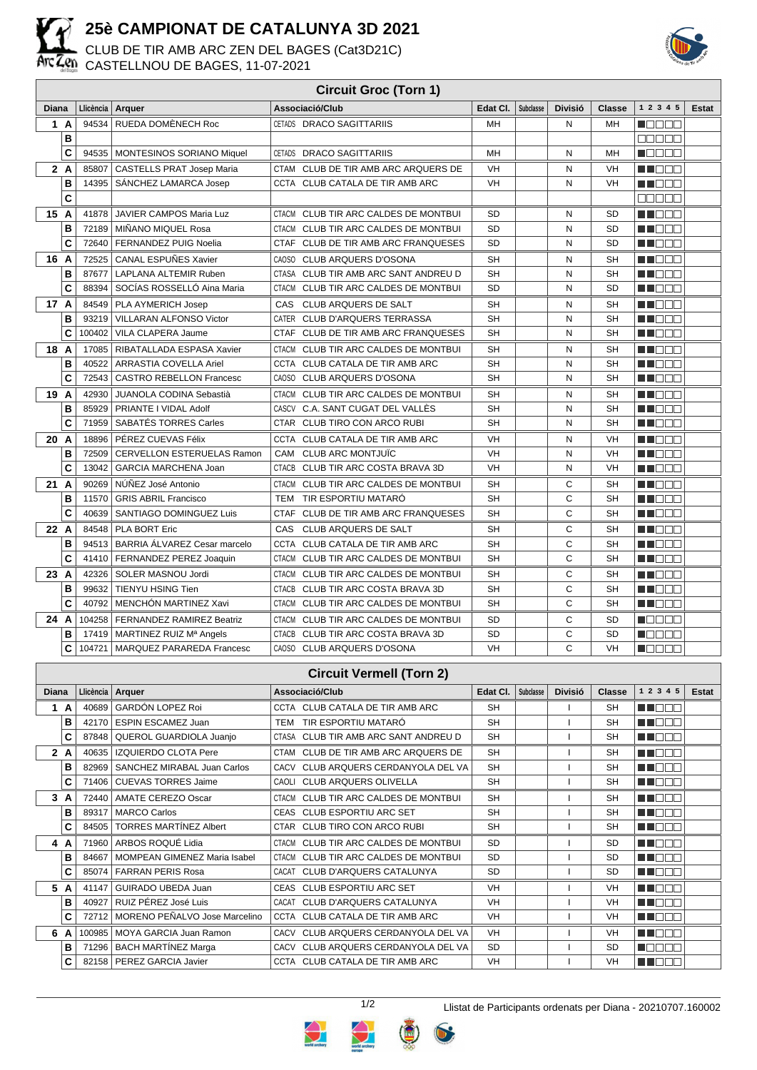

## **25è CAMPIONAT DE CATALUNYA 3D 2021**

CLUB DE TIR AMB ARC ZEN DEL BAGES (Cat3D21C) CASTELLNOU DE BAGES, 11-07-2021



| <b>Circuit Groc (Torn 1)</b> |                                 |        |                                      |                                                |           |           |                |               |              |              |
|------------------------------|---------------------------------|--------|--------------------------------------|------------------------------------------------|-----------|-----------|----------------|---------------|--------------|--------------|
| Diana                        |                                 |        | Llicència   Arquer                   | Associació/Club                                | Edat CI.  | Subclasse | <b>Divisió</b> | <b>Classe</b> | 1 2 3 4 5    | <b>Estat</b> |
|                              | 1 A                             | 94534  | RUEDA DOMÈNECH Roc                   | CETADS DRACO SAGITTARIIS                       | <b>MH</b> |           | N              | MН            | n Els Els    |              |
|                              | B                               |        |                                      |                                                |           |           |                |               | an na n      |              |
|                              | C                               | 94535  | MONTESINOS SORIANO Miquel            | <b>DRACO SAGITTARIIS</b><br>CETADS             | MH        |           | N              | MH            | Maaaa        |              |
|                              | 2A                              | 85807  | <b>CASTELLS PRAT Josep Maria</b>     | CLUB DE TIR AMB ARC ARQUERS DE<br>CTAM         | VH        |           | N              | VH            | n in Biblio  |              |
|                              | B                               | 14395  | SÁNCHEZ LAMARCA Josep                | CCTA CLUB CATALA DE TIR AMB ARC                | VH        |           | N              | <b>VH</b>     | N I O O O    |              |
|                              | C                               |        |                                      |                                                |           |           |                |               | <b>REBEE</b> |              |
|                              | 15 A                            | 41878  | JAVIER CAMPOS Maria Luz              | CLUB TIR ARC CALDES DE MONTBUI<br><b>CTACM</b> | <b>SD</b> |           | N              | <b>SD</b>     | N DE E       |              |
|                              | B                               |        | 72189   MIÑANO MIQUEL Rosa           | <b>CTACM</b><br>CLUB TIR ARC CALDES DE MONTBUI | <b>SD</b> |           | N              | <b>SD</b>     | a de la p    |              |
|                              | C                               | 72640  | FERNANDEZ PUIG Noelia                | CTAF<br>CLUB DE TIR AMB ARC FRANQUESES         | SD        |           | N              | SD            | HI EE E      |              |
|                              | 16 A                            | 72525  | <b>CANAL ESPUÑES Xavier</b>          | CAOSO<br><b>CLUB ARQUERS D'OSONA</b>           | <b>SH</b> |           | N              | <b>SH</b>     | n de e       |              |
|                              | B                               | 87677  | LAPLANA ALTEMIR Ruben                | CLUB TIR AMB ARC SANT ANDREU D<br>CTASA        | <b>SH</b> |           | N              | <b>SH</b>     | M DE O       |              |
|                              | C                               | 88394  | SOCÍAS ROSSELLÓ Aina Maria           | CTACM CLUB TIR ARC CALDES DE MONTBUI           | <b>SD</b> |           | N              | <b>SD</b>     | N DE E       |              |
|                              | 17 A                            | 84549  | PLA AYMERICH Josep                   | CAS<br><b>CLUB ARQUERS DE SALT</b>             | SH        |           | N              | SН            | N I E E E    |              |
|                              | B                               | 93219  | VILLARAN ALFONSO Victor              | CATER CLUB D'ARQUERS TERRASSA                  | <b>SH</b> |           | N              | <b>SH</b>     | n i Bel      |              |
|                              | C                               | 100402 | VILA CLAPERA Jaume                   | CTAF CLUB DE TIR AMB ARC FRANQUESES            | <b>SH</b> |           | N              | <b>SH</b>     | THE EL       |              |
|                              | 18 A                            | 17085  | RIBATALLADA ESPASA Xavier            | <b>CTACM</b><br>CLUB TIR ARC CALDES DE MONTBUI | SH        |           | N              | SΗ            | n de E       |              |
|                              | B                               | 40522  | ARRASTIA COVELLA Ariel               | CCTA<br>CLUB CATALA DE TIR AMB ARC             | <b>SH</b> |           | N              | <b>SH</b>     | MA DEL       |              |
|                              | C                               | 72543  | <b>CASTRO REBELLON Francesc</b>      | CAOSO<br><b>CLUB ARQUERS D'OSONA</b>           | <b>SH</b> |           | N              | <b>SH</b>     | N I E E E    |              |
| 19                           | A                               | 42930  | <b>JUANOLA CODINA Sebastià</b>       | <b>CTACM</b><br>CLUB TIR ARC CALDES DE MONTBUI | <b>SH</b> |           | N              | <b>SH</b>     | n no se      |              |
|                              | B                               | 85929  | PRIANTE I VIDAL Adolf                | CASCV<br>C.A. SANT CUGAT DEL VALLES            | <b>SH</b> |           | N              | <b>SH</b>     | M DE O       |              |
|                              | C                               | 71959  | SABATÉS TORRES Carles                | CTAR CLUB TIRO CON ARCO RUBI                   | <b>SH</b> |           | N              | <b>SH</b>     | M DE O       |              |
| 20                           | A                               | 18896  | PÉREZ CUEVAS Félix                   | CCTA CLUB CATALA DE TIR AMB ARC                | VH        |           | N              | VH            | n noon       |              |
|                              | B                               | 72509  | <b>CERVELLON ESTERUELAS Ramon</b>    | CAM<br><b>CLUB ARC MONTJUIC</b>                | VH        |           | N              | VH            | M DE O       |              |
|                              | C                               | 13042  | <b>GARCIA MARCHENA Joan</b>          | <b>CTACB</b><br>CLUB TIR ARC COSTA BRAVA 3D    | VH        |           | N              | VH            | H FFFF       |              |
| 21                           | $\overline{A}$                  | 90269  | NÚÑEZ José Antonio                   | CLUB TIR ARC CALDES DE MONTBUI<br>CTACM        | <b>SH</b> |           | C              | <b>SH</b>     | ma mata      |              |
|                              | B                               | 11570  | <b>GRIS ABRIL Francisco</b>          | TIR ESPORTIU MATARÓ<br><b>TEM</b>              | <b>SH</b> |           | C              | <b>SH</b>     | MI DE S      |              |
|                              | C                               | 40639  | SANTIAGO DOMINGUEZ Luis              | CTAF CLUB DE TIR AMB ARC FRANQUESES            | SH        |           | C              | SΗ            | M DOO        |              |
|                              | 22 A                            | 84548  | PLA BORT Eric                        | CAS<br><b>CLUB ARQUERS DE SALT</b>             | SH        |           | С              | SH            | n i BBC      |              |
|                              | B                               |        | 94513   BARRIA ÁLVAREZ Cesar marcelo | CCTA CLUB CATALA DE TIR AMB ARC                | <b>SH</b> |           | C              | <b>SH</b>     | M DE O       |              |
|                              | C                               |        | 41410   FERNANDEZ PEREZ Joaquin      | CLUB TIR ARC CALDES DE MONTBUI<br>CTACM        | <b>SH</b> |           | C              | <b>SH</b>     | N DE E       |              |
|                              | 23A                             | 42326  | SOLER MASNOU Jordi                   | CLUB TIR ARC CALDES DE MONTBUI<br>CTACM        | <b>SH</b> |           | C              | <b>SH</b>     | N NO DE LA   |              |
|                              | B                               | 99632  | <b>TIENYU HSING Tien</b>             | <b>CTACB</b><br>CLUB TIR ARC COSTA BRAVA 3D    | <b>SH</b> |           | C              | <b>SH</b>     | N NO DE L    |              |
|                              | C                               | 40792  | MENCHÓN MARTINEZ Xavi                | CLUB TIR ARC CALDES DE MONTBUI<br><b>CTACM</b> | <b>SH</b> |           | C              | <b>SH</b>     | N I O O O    |              |
|                              | 24 A                            | 104258 | <b>FERNANDEZ RAMIREZ Beatriz</b>     | CLUB TIR ARC CALDES DE MONTBUI<br><b>CTACM</b> | <b>SD</b> |           | C              | <b>SD</b>     | n da da      |              |
|                              | в                               |        | 17419   MARTINEZ RUIZ Mª Angels      | <b>CTACB</b><br>CLUB TIR ARC COSTA BRAVA 3D    | <b>SD</b> |           | C              | <b>SD</b>     | n de de      |              |
|                              | C                               |        | 104721   MARQUEZ PARAREDA Francesc   | CAOSO CLUB ARQUERS D'OSONA                     | VH        |           | $\mathsf{C}$   | VH            | MOO O O      |              |
|                              | <b>Circuit Vermell (Torn 2)</b> |        |                                      |                                                |           |           |                |               |              |              |
|                              |                                 |        |                                      |                                                |           |           |                |               |              |              |

| Gircuit vermeil (Torn Z) |     |           |                                     |                                      |           |           |                |           |              |       |
|--------------------------|-----|-----------|-------------------------------------|--------------------------------------|-----------|-----------|----------------|-----------|--------------|-------|
| <b>Diana</b>             |     | Llicència | Arquer                              | Associació/Club                      | Edat CI.  | Subclasse | <b>Divisió</b> | Classe    | 1 2 3 4 5    | Estat |
| 1                        | A   | 40689     | <b>GARDÓN LOPEZ Roi</b>             | CCTA CLUB CATALA DE TIR AMB ARC      | <b>SH</b> |           |                | <b>SH</b> | MAN DO D     |       |
|                          | в   | 42170     | <b>ESPIN ESCAMEZ Juan</b>           | TEM TIR ESPORTIU MATARÓ              | <b>SH</b> |           |                | <b>SH</b> | M BER        |       |
|                          | С   | 87848     | QUEROL GUARDIOLA Juanjo             | CTASA CLUB TIR AMB ARC SANT ANDREU D | <b>SH</b> |           |                | <b>SH</b> | M NO W W     |       |
| $\mathbf{2}$             | A   | 40635     | <b>IZQUIERDO CLOTA Pere</b>         | CTAM CLUB DE TIR AMB ARC ARQUERS DE  | <b>SH</b> |           |                | <b>SH</b> | M I O O O    |       |
|                          | в   | 82969     | SANCHEZ MIRABAL Juan Carlos         | CACV CLUB ARQUERS CERDANYOLA DEL VA  | <b>SH</b> |           |                | <b>SH</b> | M DE B       |       |
|                          | С   | 71406     | <b>CUEVAS TORRES Jaime</b>          | CAOLI CLUB ARQUERS OLIVELLA          | <b>SH</b> |           |                | <b>SH</b> | MN 888       |       |
| 3                        | A   | 72440     | <b>AMATE CEREZO Oscar</b>           | CTACM CLUB TIR ARC CALDES DE MONTBUI | <b>SH</b> |           |                | <b>SH</b> | M DE E       |       |
|                          | в   | 89317     | <b>MARCO Carlos</b>                 | CEAS CLUB ESPORTIU ARC SET           | <b>SH</b> |           |                | <b>SH</b> | n in Biblio  |       |
|                          | С   | 84505     | <b>TORRES MARTÍNEZ Albert</b>       | CTAR CLUB TIRO CON ARCO RUBI         | <b>SH</b> |           |                | <b>SH</b> | M DOO        |       |
|                          | 4 A | 71960     | ARBOS ROQUÉ Lidia                   | CTACM CLUB TIR ARC CALDES DE MONTBUI | <b>SD</b> |           |                | <b>SD</b> | MA DE E      |       |
|                          | в   | 84667     | <b>MOMPEAN GIMENEZ Maria Isabel</b> | CTACM CLUB TIR ARC CALDES DE MONTBUI | <b>SD</b> |           |                | <b>SD</b> | M NO DI VI   |       |
|                          | С   | 85074     | <b>FARRAN PERIS Rosa</b>            | CACAT CLUB D'ARQUERS CATALUNYA       | <b>SD</b> |           |                | <b>SD</b> | M BE E       |       |
| 5                        | A   | 41147     | GUIRADO UBEDA Juan                  | CEAS CLUB ESPORTIU ARC SET           | VH        |           |                | VH        | MA MARIN     |       |
|                          | в   | 40927     | RUIZ PÉREZ José Luis                | CACAT CLUB D'ARQUERS CATALUNYA       | <b>VH</b> |           |                | VH        | n no se      |       |
|                          | C   | 72712     | MORENO PEÑALVO Jose Marcelino       | CCTA CLUB CATALA DE TIR AMB ARC      | <b>VH</b> |           |                | VH        | MN 888       |       |
| 6                        | A   | 100985    | <b>MOYA GARCIA Juan Ramon</b>       | CACV CLUB ARQUERS CERDANYOLA DEL VA  | <b>VH</b> |           |                | VH        | M O O O      |       |
|                          | в   | 71296     | <b>BACH MARTINEZ Marga</b>          | CACV CLUB ARQUERS CERDANYOLA DEL VA  | <b>SD</b> |           |                | <b>SD</b> | <b>HEEEE</b> |       |
|                          | С   |           | 82158   PEREZ GARCIA Javier         | CCTA CLUB CATALA DE TIR AMB ARC      | VH        |           |                | VH        | M DE E       |       |